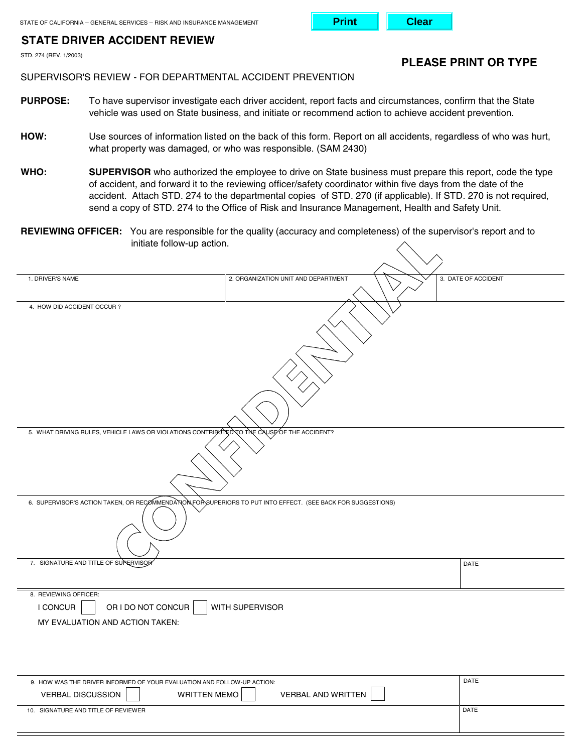# **STATE DRIVER ACCIDENT REVIEW**

STD. 274 (REV. 1/2003)

**PLEASE PRINT OR TYPE** 

**Print Clear**

### SUPERVISOR'S REVIEW - FOR DEPARTMENTAL ACCIDENT PREVENTION

- **PURPOSE:** To have supervisor investigate each driver accident, report facts and circumstances, confirm that the State vehicle was used on State business, and initiate or recommend action to achieve accident prevention.
- HOW: Use sources of information listed on the back of this form. Report on all accidents, regardless of who was hurt, what property was damaged, or who was responsible. (SAM 2430)
- WHO: SUPERVISOR who authorized the employee to drive on State business must prepare this report, code the type of accident, and forward it to the reviewing officer/safety coordinator within five days from the date of the accident. Attach STD. 274 to the departmental copies of STD. 270 (if applicable). If STD. 270 is not required, send a copy of STD. 274 to the Office of Risk and Insurance Management, Health and Safety Unit.
- **REVIEWING OFFICER:** You are responsible for the quality (accuracy and completeness) of the supervisor's report and to initiate follow-up action.

| 1. DRIVER'S NAME                                                                                              | 2. ORGANIZATION UNIT AND DEPARTMENT |  | 3. DATE OF ACCIDENT |  |
|---------------------------------------------------------------------------------------------------------------|-------------------------------------|--|---------------------|--|
| 4. HOW DID ACCIDENT OCCUR ?                                                                                   |                                     |  |                     |  |
| 5. WHAT DRIVING RULES, VEHICLE LAWS OR VIOLATIONS CONTRIBUTED TO THE COUSE OF THE ACCIDENT?                   |                                     |  |                     |  |
|                                                                                                               |                                     |  |                     |  |
| 6. SUPERVISOR'S ACTION TAKEN, OR RECOMMENDANON FOR SUPERIORS TO PUT INTO EFFECT. (SEE BACK FOR SUGGESTIONS)   |                                     |  |                     |  |
| 7. SIGNATURE AND TITLE OF SUPERVISOR                                                                          |                                     |  | DATE                |  |
|                                                                                                               |                                     |  |                     |  |
| 8. REVIEWING OFFICER:<br>OR I DO NOT CONCUR<br>WITH SUPERVISOR<br>I CONCUR<br>MY EVALUATION AND ACTION TAKEN: |                                     |  |                     |  |
|                                                                                                               |                                     |  |                     |  |
| 9. HOW WAS THE DRIVER INFORMED OF YOUR EVALUATION AND FOLLOW-UP ACTION:                                       |                                     |  | DATE                |  |
| <b>VERBAL DISCUSSION</b><br><b>WRITTEN MEMO</b>                                                               | <b>VERBAL AND WRITTEN</b>           |  |                     |  |
| 10. SIGNATURE AND TITLE OF REVIEWER                                                                           |                                     |  | DATE                |  |
|                                                                                                               |                                     |  |                     |  |